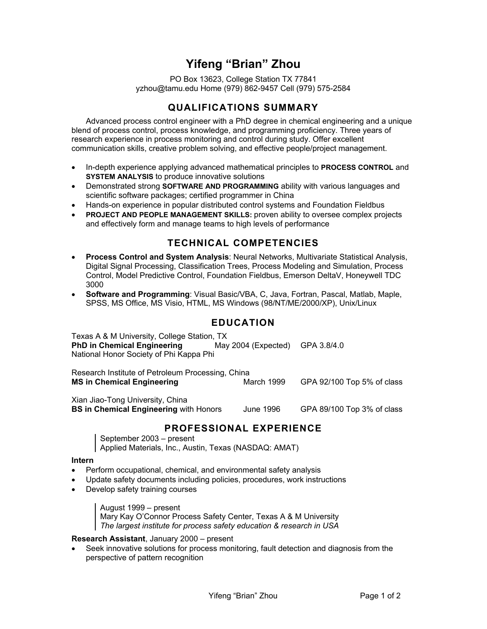# **Yifeng "Brian" Zhou**

PO Box 13623, College Station TX 77841 yzhou@tamu.edu Home (979) 862-9457 Cell (979) 575-2584

### **QUALIFICATIONS SUMMARY**

Advanced process control engineer with a PhD degree in chemical engineering and a unique blend of process control, process knowledge, and programming proficiency. Three years of research experience in process monitoring and control during study. Offer excellent communication skills, creative problem solving, and effective people/project management.

- In-depth experience applying advanced mathematical principles to **PROCESS CONTROL** and **SYSTEM ANALYSIS** to produce innovative solutions
- Demonstrated strong **SOFTWARE AND PROGRAMMING** ability with various languages and scientific software packages; certified programmer in China
- Hands-on experience in popular distributed control systems and Foundation Fieldbus
- **PROJECT AND PEOPLE MANAGEMENT SKILLS:** proven ability to oversee complex projects and effectively form and manage teams to high levels of performance

## **TECHNICAL COMPETENCIES**

- **Process Control and System Analysis**: Neural Networks, Multivariate Statistical Analysis, Digital Signal Processing, Classification Trees, Process Modeling and Simulation, Process Control, Model Predictive Control, Foundation Fieldbus, Emerson DeltaV, Honeywell TDC 3000
- **Software and Programming**: Visual Basic/VBA, C, Java, Fortran, Pascal, Matlab, Maple, SPSS, MS Office, MS Visio, HTML, MS Windows (98/NT/ME/2000/XP), Unix/Linux

### **EDUCATION**

| Texas A & M University, College Station, TX<br><b>PhD in Chemical Engineering</b><br>National Honor Society of Phi Kappa Phi | May 2004 (Expected) | GPA 3.8/4.0                |
|------------------------------------------------------------------------------------------------------------------------------|---------------------|----------------------------|
| Research Institute of Petroleum Processing, China<br><b>MS in Chemical Engineering</b>                                       | March 1999          | GPA 92/100 Top 5% of class |
| Xian Jiao-Tong University, China<br><b>BS in Chemical Engineering with Honors</b>                                            | June 1996           | GPA 89/100 Top 3% of class |

### **PROFESSIONAL EXPERIENCE**

September 2003 – present Applied Materials, Inc., Austin, Texas (NASDAQ: AMAT)

#### **Intern**

- Perform occupational, chemical, and environmental safety analysis
- Update safety documents including policies, procedures, work instructions
- Develop safety training courses

August 1999 – present

Mary Kay O'Connor Process Safety Center, Texas A & M University *The largest institute for process safety education & research in USA* 

**Research Assistant**, January 2000 – present

• Seek innovative solutions for process monitoring, fault detection and diagnosis from the perspective of pattern recognition